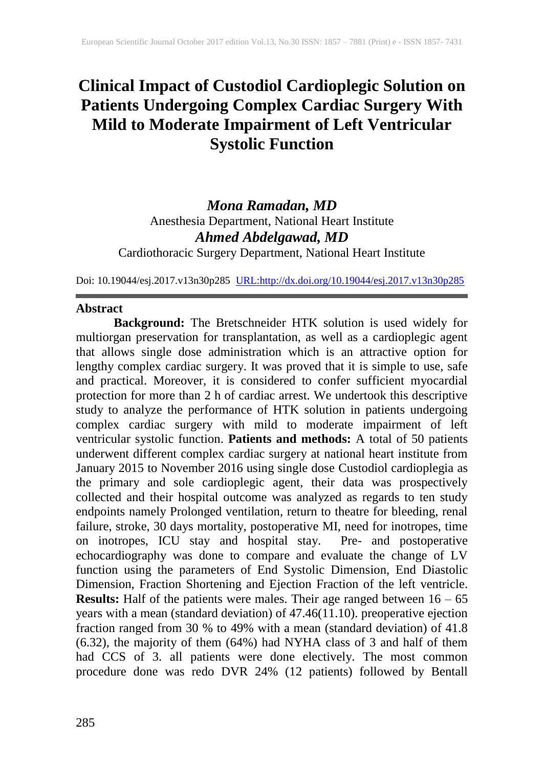# **Clinical Impact of Custodiol Cardioplegic Solution on Patients Undergoing Complex Cardiac Surgery With Mild to Moderate Impairment of Left Ventricular Systolic Function**

*Mona Ramadan, MD* Anesthesia Department, National Heart Institute *Ahmed Abdelgawad, MD* Cardiothoracic Surgery Department, National Heart Institute

Doi: 10.19044/esj.2017.v13n30p285 [URL:http://dx.doi.org/10.19044/esj.2017.v13n30p285](http://dx.doi.org/10.19044/esj.2017.v13n30p285)

#### **Abstract**

**Background:** The Bretschneider HTK solution is used widely for multiorgan preservation for transplantation, as well as a cardioplegic agent that allows single dose administration which is an attractive option for lengthy complex cardiac surgery. It was proved that it is simple to use, safe and practical. Moreover, it is considered to confer sufficient myocardial protection for more than 2 h of cardiac arrest. We undertook this descriptive study to analyze the performance of HTK solution in patients undergoing complex cardiac surgery with mild to moderate impairment of left ventricular systolic function. **Patients and methods:** A total of 50 patients underwent different complex cardiac surgery at national heart institute from January 2015 to November 2016 using single dose Custodiol cardioplegia as the primary and sole cardioplegic agent, their data was prospectively collected and their hospital outcome was analyzed as regards to ten study endpoints namely Prolonged ventilation, return to theatre for bleeding, renal failure, stroke, 30 days mortality, postoperative MI, need for inotropes, time on inotropes, ICU stay and hospital stay. Pre- and postoperative echocardiography was done to compare and evaluate the change of LV function using the parameters of End Systolic Dimension, End Diastolic Dimension, Fraction Shortening and Ejection Fraction of the left ventricle. **Results:** Half of the patients were males. Their age ranged between  $16 - 65$ years with a mean (standard deviation) of 47.46(11.10). preoperative ejection fraction ranged from 30 % to 49% with a mean (standard deviation) of 41.8 (6.32), the majority of them (64%) had NYHA class of 3 and half of them had CCS of 3. all patients were done electively. The most common procedure done was redo DVR 24% (12 patients) followed by Bentall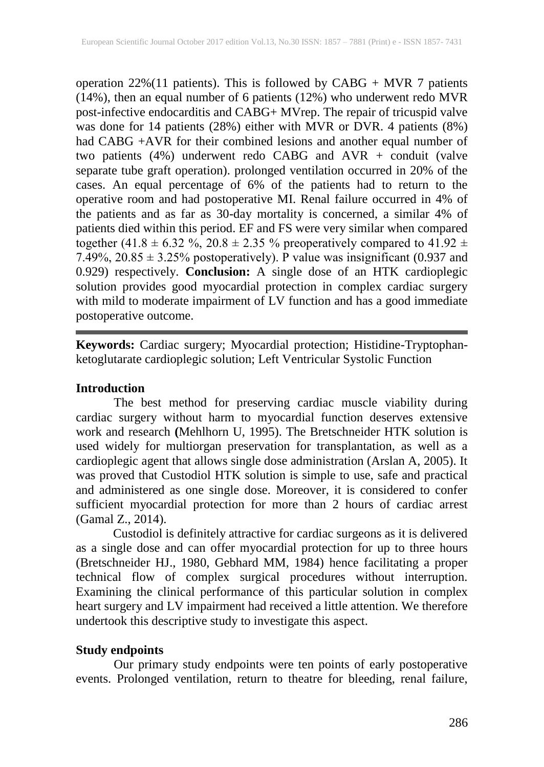operation 22%(11 patients). This is followed by CABG + MVR 7 patients (14%), then an equal number of 6 patients (12%) who underwent redo MVR post-infective endocarditis and CABG+ MVrep. The repair of tricuspid valve was done for 14 patients (28%) either with MVR or DVR. 4 patients (8%) had CABG +AVR for their combined lesions and another equal number of two patients (4%) underwent redo CABG and AVR + conduit (valve separate tube graft operation). prolonged ventilation occurred in 20% of the cases. An equal percentage of 6% of the patients had to return to the operative room and had postoperative MI. Renal failure occurred in 4% of the patients and as far as 30-day mortality is concerned, a similar 4% of patients died within this period. EF and FS were very similar when compared together (41.8  $\pm$  6.32 %, 20.8  $\pm$  2.35 % preoperatively compared to 41.92  $\pm$ 7.49%,  $20.85 \pm 3.25$ % postoperatively). P value was insignificant (0.937 and 0.929) respectively. **Conclusion:** A single dose of an HTK cardioplegic solution provides good myocardial protection in complex cardiac surgery with mild to moderate impairment of LV function and has a good immediate postoperative outcome.

**Keywords:** Cardiac surgery; Myocardial protection; Histidine-Tryptophanketoglutarate cardioplegic solution; Left Ventricular Systolic Function

### **Introduction**

The best method for preserving cardiac muscle viability during cardiac surgery without harm to myocardial function deserves extensive work and research **(**Mehlhorn U, 1995). The Bretschneider HTK solution is used widely for multiorgan preservation for transplantation, as well as a cardioplegic agent that allows single dose administration (Arslan A, 2005). It was proved that Custodiol HTK solution is simple to use, safe and practical and administered as one single dose. Moreover, it is considered to confer sufficient myocardial protection for more than 2 hours of cardiac arrest (Gamal Z., 2014).

Custodiol is definitely attractive for cardiac surgeons as it is delivered as a single dose and can offer myocardial protection for up to three hours (Bretschneider HJ., 1980, Gebhard MM, 1984) hence facilitating a proper technical flow of complex surgical procedures without interruption. Examining the clinical performance of this particular solution in complex heart surgery and LV impairment had received a little attention. We therefore undertook this descriptive study to investigate this aspect.

### **Study endpoints**

Our primary study endpoints were ten points of early postoperative events. Prolonged ventilation, return to theatre for bleeding, renal failure,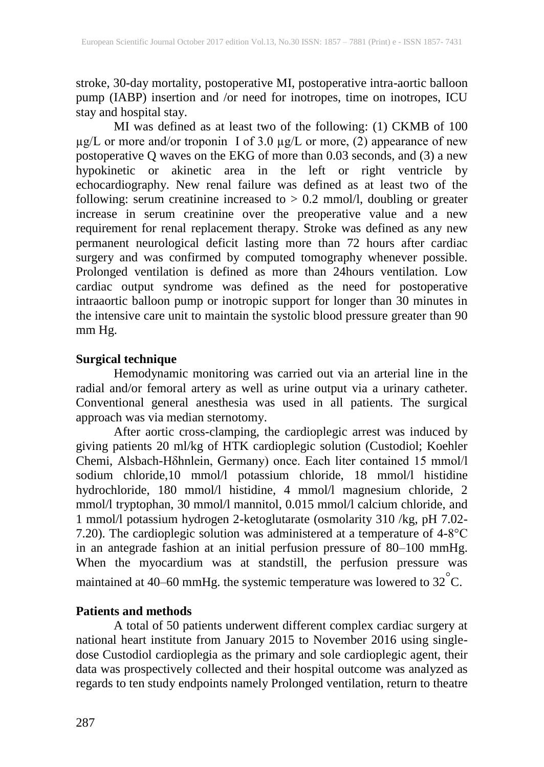stroke, 30-day mortality, postoperative MI, postoperative intra-aortic balloon pump (IABP) insertion and /or need for inotropes, time on inotropes, ICU stay and hospital stay.

MI was defined as at least two of the following: (1) CKMB of 100  $\mu$ g/L or more and/or troponin I of 3.0  $\mu$ g/L or more, (2) appearance of new postoperative Q waves on the EKG of more than 0.03 seconds, and (3) a new hypokinetic or akinetic area in the left or right ventricle by echocardiography. New renal failure was defined as at least two of the following: serum creatinine increased to > 0.2 mmol/l, doubling or greater increase in serum creatinine over the preoperative value and a new requirement for renal replacement therapy. Stroke was defined as any new permanent neurological deficit lasting more than 72 hours after cardiac surgery and was confirmed by computed tomography whenever possible. Prolonged ventilation is defined as more than 24hours ventilation. Low cardiac output syndrome was defined as the need for postoperative intraaortic balloon pump or inotropic support for longer than 30 minutes in the intensive care unit to maintain the systolic blood pressure greater than 90 mm Hg.

### **Surgical technique**

Hemodynamic monitoring was carried out via an arterial line in the radial and/or femoral artery as well as urine output via a urinary catheter. Conventional general anesthesia was used in all patients. The surgical approach was via median sternotomy.

After aortic cross-clamping, the cardioplegic arrest was induced by giving patients 20 ml/kg of HTK cardioplegic solution (Custodiol; Koehler Chemi, Alsbach-Hδhnlein, Germany) once. Each liter contained 15 mmol/l sodium chloride,10 mmol/l potassium chloride, 18 mmol/l histidine hydrochloride, 180 mmol/l histidine, 4 mmol/l magnesium chloride, 2 mmol/l tryptophan, 30 mmol/l mannitol, 0.015 mmol/l calcium chloride, and 1 mmol/l potassium hydrogen 2-ketoglutarate (osmolarity 310 /kg, pH 7.02- 7.20). The cardioplegic solution was administered at a temperature of 4-8°C in an antegrade fashion at an initial perfusion pressure of 80–100 mmHg. When the myocardium was at standstill, the perfusion pressure was maintained at 40–60 mmHg. the systemic temperature was lowered to  $32^{\circ}$ C.

### **Patients and methods**

A total of 50 patients underwent different complex cardiac surgery at national heart institute from January 2015 to November 2016 using singledose Custodiol cardioplegia as the primary and sole cardioplegic agent, their data was prospectively collected and their hospital outcome was analyzed as regards to ten study endpoints namely Prolonged ventilation, return to theatre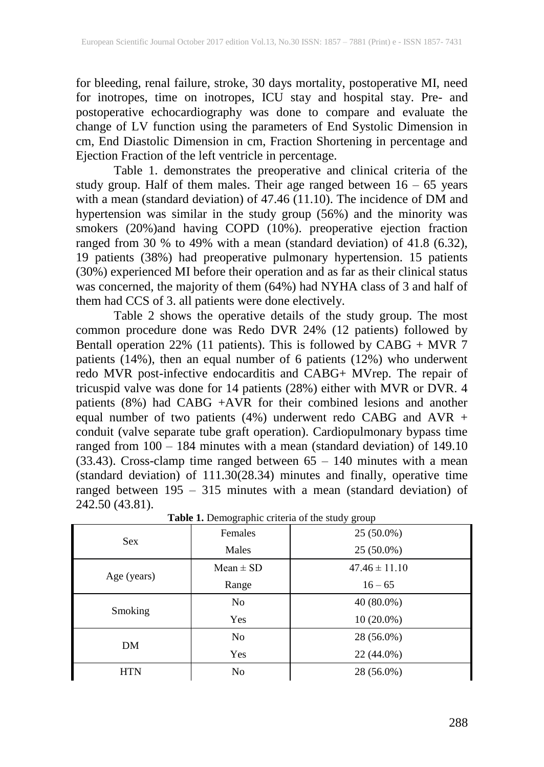for bleeding, renal failure, stroke, 30 days mortality, postoperative MI, need for inotropes, time on inotropes, ICU stay and hospital stay. Pre- and postoperative echocardiography was done to compare and evaluate the change of LV function using the parameters of End Systolic Dimension in cm, End Diastolic Dimension in cm, Fraction Shortening in percentage and Ejection Fraction of the left ventricle in percentage.

Table 1. demonstrates the preoperative and clinical criteria of the study group. Half of them males. Their age ranged between 16 – 65 years with a mean (standard deviation) of 47.46 (11.10). The incidence of DM and hypertension was similar in the study group (56%) and the minority was smokers (20%)and having COPD (10%). preoperative ejection fraction ranged from 30 % to 49% with a mean (standard deviation) of 41.8 (6.32), 19 patients (38%) had preoperative pulmonary hypertension. 15 patients (30%) experienced MI before their operation and as far as their clinical status was concerned, the majority of them (64%) had NYHA class of 3 and half of them had CCS of 3. all patients were done electively.

Table 2 shows the operative details of the study group. The most common procedure done was Redo DVR 24% (12 patients) followed by Bentall operation 22% (11 patients). This is followed by  $CABG + MVR$  7 patients (14%), then an equal number of 6 patients (12%) who underwent redo MVR post-infective endocarditis and CABG+ MVrep. The repair of tricuspid valve was done for 14 patients (28%) either with MVR or DVR. 4 patients (8%) had CABG +AVR for their combined lesions and another equal number of two patients (4%) underwent redo CABG and AVR + conduit (valve separate tube graft operation). Cardiopulmonary bypass time ranged from 100 – 184 minutes with a mean (standard deviation) of 149.10  $(33.43)$ . Cross-clamp time ranged between  $65 - 140$  minutes with a mean (standard deviation) of 111.30(28.34) minutes and finally, operative time ranged between 195 – 315 minutes with a mean (standard deviation) of 242.50 (43.81).

|             | ັ່             | ັັ<br>$\overline{ }$ |  |  |
|-------------|----------------|----------------------|--|--|
|             | Females        | 25 (50.0%)           |  |  |
| <b>Sex</b>  | Males          | 25 (50.0%)           |  |  |
|             | $Mean \pm SD$  | $47.46 \pm 11.10$    |  |  |
| Age (years) | Range          | $16 - 65$            |  |  |
| Smoking     | No             | 40 (80.0%)           |  |  |
|             | Yes            | $10(20.0\%)$         |  |  |
| DM          | No             | 28 (56.0%)           |  |  |
|             | Yes            | 22 (44.0%)           |  |  |
| <b>HTN</b>  | N <sub>o</sub> | 28 (56.0%)           |  |  |
|             |                |                      |  |  |

Table 1. Demographic criteria of the study group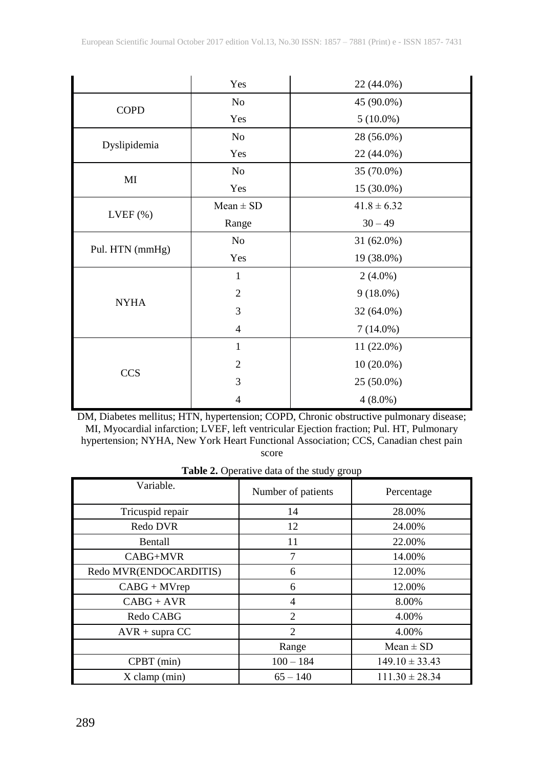|                 | Yes            | 22 (44.0%)      |  |
|-----------------|----------------|-----------------|--|
| <b>COPD</b>     | No             | 45 (90.0%)      |  |
|                 | Yes            | $5(10.0\%)$     |  |
| Dyslipidemia    | N <sub>0</sub> | 28 (56.0%)      |  |
|                 | Yes            | 22 (44.0%)      |  |
| MI              | No             | 35 (70.0%)      |  |
|                 | Yes            | 15 (30.0%)      |  |
|                 | $Mean \pm SD$  | $41.8 \pm 6.32$ |  |
| $LVEF$ $(\%)$   | Range          | $30 - 49$       |  |
| Pul. HTN (mmHg) | N <sub>0</sub> | 31 (62.0%)      |  |
|                 | Yes            | 19 (38.0%)      |  |
|                 | 1              | $2(4.0\%)$      |  |
| <b>NYHA</b>     | 2              | $9(18.0\%)$     |  |
|                 | 3              | 32 (64.0%)      |  |
|                 | $\overline{4}$ | $7(14.0\%)$     |  |
| <b>CCS</b>      | 1              | $11(22.0\%)$    |  |
|                 | 2              | $10(20.0\%)$    |  |
|                 | 3              | 25 (50.0%)      |  |
|                 | 4              | $4(8.0\%)$      |  |

DM, Diabetes mellitus; HTN, hypertension; COPD, Chronic obstructive pulmonary disease; MI, Myocardial infarction; LVEF, left ventricular Ejection fraction; Pul. HT, Pulmonary hypertension; NYHA, New York Heart Functional Association; CCS, Canadian chest pain score

| Table 2. Operative data of the study group |  |  |  |  |
|--------------------------------------------|--|--|--|--|
|--------------------------------------------|--|--|--|--|

| Variable.              | Number of patients | Percentage         |  |
|------------------------|--------------------|--------------------|--|
| Tricuspid repair       | 14                 | 28.00%             |  |
| Redo DVR               | 12                 | 24.00%             |  |
| <b>Bentall</b>         | 11                 | 22.00%             |  |
| CABG+MVR               | 7                  | 14.00%             |  |
| Redo MVR(ENDOCARDITIS) | 6                  | 12.00%             |  |
| $CABG + MVrep$         | 6                  | 12.00%             |  |
| $CABG + AVR$           | 4                  | 8.00%              |  |
| Redo CABG              | $\mathfrak{D}$     | 4.00%              |  |
| $AVR + supra CC$       | $\overline{2}$     | 4.00%              |  |
|                        | Range              | $Mean \pm SD$      |  |
| $CPBT$ (min)           | $100 - 184$        | $149.10 \pm 33.43$ |  |
| $X$ clamp (min)        | $65 - 140$         | $111.30 \pm 28.34$ |  |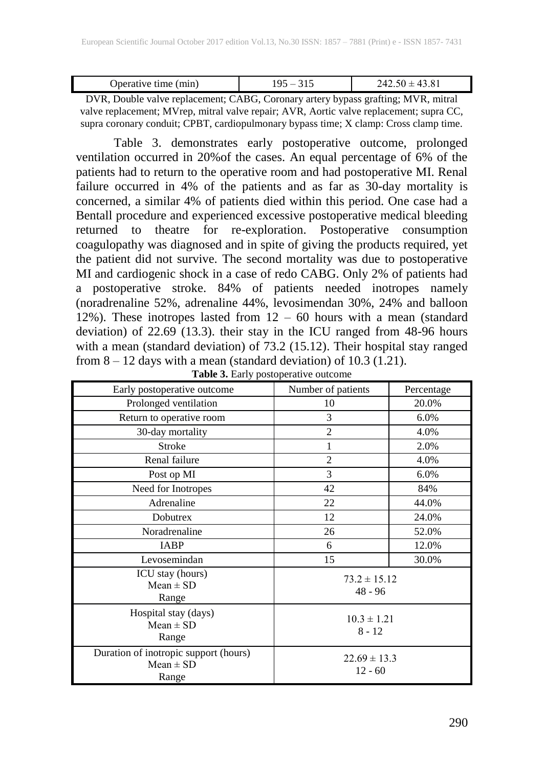| Doerative time (min) |  |
|----------------------|--|

DVR, Double valve replacement; CABG, Coronary artery bypass grafting; MVR, mitral valve replacement; MVrep, mitral valve repair; AVR, Aortic valve replacement; supra CC, supra coronary conduit; CPBT, cardiopulmonary bypass time; X clamp: Cross clamp time.

Table 3. demonstrates early postoperative outcome, prolonged ventilation occurred in 20%of the cases. An equal percentage of 6% of the patients had to return to the operative room and had postoperative MI. Renal failure occurred in 4% of the patients and as far as 30-day mortality is concerned, a similar 4% of patients died within this period. One case had a Bentall procedure and experienced excessive postoperative medical bleeding returned to theatre for re-exploration. Postoperative consumption coagulopathy was diagnosed and in spite of giving the products required, yet the patient did not survive. The second mortality was due to postoperative MI and cardiogenic shock in a case of redo CABG. Only 2% of patients had a postoperative stroke. 84% of patients needed inotropes namely (noradrenaline 52%, adrenaline 44%, levosimendan 30%, 24% and balloon 12%). These inotropes lasted from  $12 - 60$  hours with a mean (standard deviation) of 22.69 (13.3). their stay in the ICU ranged from 48-96 hours with a mean (standard deviation) of 73.2 (15.12). Their hospital stay ranged from 8 – 12 days with a mean (standard deviation) of 10.3 (1.21).

| Early postoperative outcome                                     | Number of patients            | Percentage |
|-----------------------------------------------------------------|-------------------------------|------------|
| Prolonged ventilation                                           | 10                            | 20.0%      |
| Return to operative room                                        | 3                             | 6.0%       |
| 30-day mortality                                                | $\overline{2}$                | 4.0%       |
| <b>Stroke</b>                                                   | 1                             | 2.0%       |
| Renal failure                                                   | $\overline{2}$                | 4.0%       |
| Post op MI                                                      | 3                             | 6.0%       |
| Need for Inotropes                                              | 42                            | 84%        |
| Adrenaline                                                      | 22                            | 44.0%      |
| Dobutrex                                                        | 12                            | 24.0%      |
| Noradrenaline                                                   | 26                            | 52.0%      |
| <b>IABP</b>                                                     | 6                             | 12.0%      |
| Levosemindan                                                    | 15                            | 30.0%      |
| ICU stay (hours)<br>$Mean \pm SD$<br>Range                      | $73.2 \pm 15.12$<br>$48 - 96$ |            |
| Hospital stay (days)<br>$Mean \pm SD$<br>Range                  | $10.3 \pm 1.21$<br>$8 - 12$   |            |
| Duration of inotropic support (hours)<br>$Mean \pm SD$<br>Range | $22.69 \pm 13.3$<br>$12 - 60$ |            |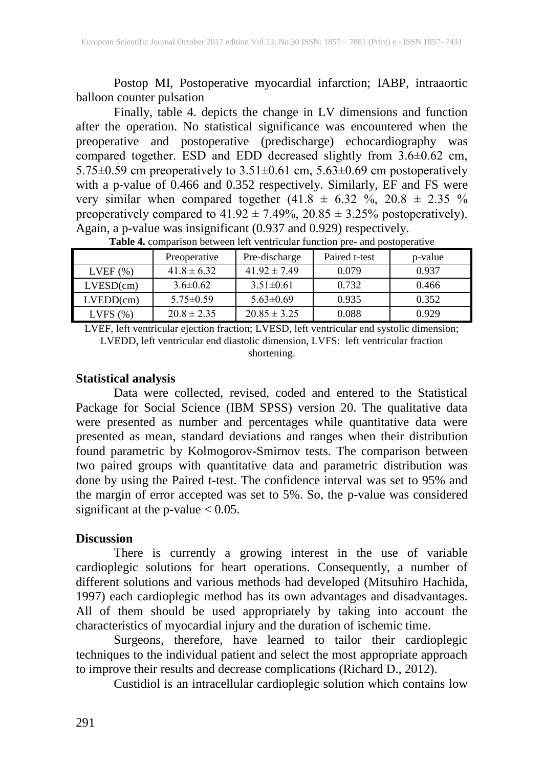Postop MI, Postoperative myocardial infarction; IABP, intraaortic balloon counter pulsation

Finally, table 4. depicts the change in LV dimensions and function after the operation. No statistical significance was encountered when the preoperative and postoperative (predischarge) echocardiography was compared together. ESD and EDD decreased slightly from 3.6±0.62 cm, 5.75 $\pm$ 0.59 cm preoperatively to 3.51 $\pm$ 0.61 cm, 5.63 $\pm$ 0.69 cm postoperatively with a p-value of 0.466 and 0.352 respectively. Similarly, EF and FS were very similar when compared together  $(41.8 \pm 6.32 \degree\% , 20.8 \pm 2.35 \degree\% )$ preoperatively compared to  $41.92 \pm 7.49\%$ ,  $20.85 \pm 3.25\%$  postoperatively). Again, a p-value was insignificant (0.937 and 0.929) respectively.

|               | Preoperative    | Pre-discharge    | Paired t-test | p-value |
|---------------|-----------------|------------------|---------------|---------|
| $LVEF$ $(\%)$ | $41.8 \pm 6.32$ | $41.92 \pm 7.49$ | 0.079         | 0.937   |
| LVESD(cm)     | $3.6 \pm 0.62$  | $3.51 \pm 0.61$  | 0.732         | 0.466   |
| LVEDD(cm)     | $5.75 \pm 0.59$ | $5.63\pm0.69$    | 0.935         | 0.352   |
| LVFS $(\%)$   | $20.8 \pm 2.35$ | $20.85 \pm 3.25$ | 0.088         | 0.929   |

**Table 4.** comparison between left ventricular function pre- and postoperative

LVEF, left ventricular ejection fraction; LVESD, left ventricular end systolic dimension; LVEDD, left ventricular end diastolic dimension, LVFS: left ventricular fraction shortening.

## **Statistical analysis**

Data were collected, revised, coded and entered to the Statistical Package for Social Science (IBM SPSS) version 20. The qualitative data were presented as number and percentages while quantitative data were presented as mean, standard deviations and ranges when their distribution found parametric by Kolmogorov-Smirnov tests. The comparison between two paired groups with quantitative data and parametric distribution was done by using the Paired t-test. The confidence interval was set to 95% and the margin of error accepted was set to 5%. So, the p-value was considered significant at the p-value  $< 0.05$ .

### **Discussion**

There is currently a growing interest in the use of variable cardioplegic solutions for heart operations. Consequently, a number of different solutions and various methods had developed (Mitsuhiro Hachida, 1997) each cardioplegic method has its own advantages and disadvantages. All of them should be used appropriately by taking into account the characteristics of myocardial injury and the duration of ischemic time.

Surgeons, therefore, have learned to tailor their cardioplegic techniques to the individual patient and select the most appropriate approach to improve their results and decrease complications (Richard D., 2012).

Custidiol is an intracellular cardioplegic solution which contains low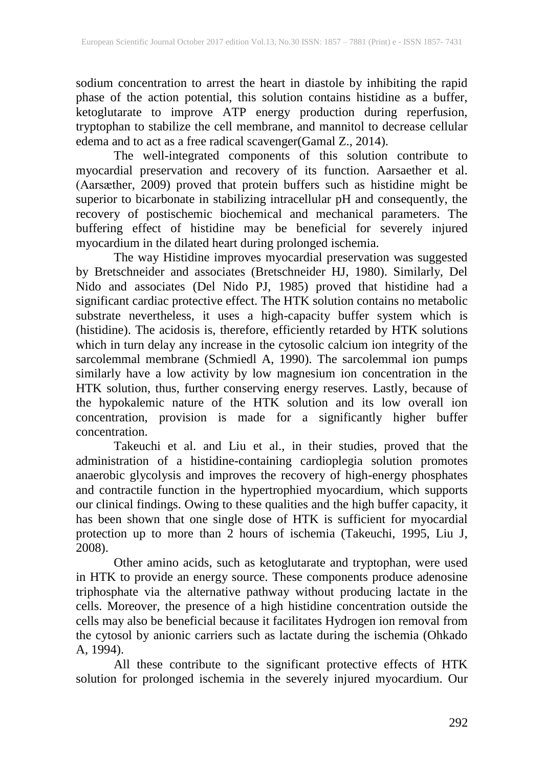sodium concentration to arrest the heart in diastole by inhibiting the rapid phase of the action potential, this solution contains histidine as a buffer, ketoglutarate to improve ATP energy production during reperfusion, tryptophan to stabilize the cell membrane, and mannitol to decrease cellular edema and to act as a free radical scavenger(Gamal Z., 2014).

The well-integrated components of this solution contribute to myocardial preservation and recovery of its function. Aarsaether et al. (Aarsæther, 2009) proved that protein buffers such as histidine might be superior to bicarbonate in stabilizing intracellular pH and consequently, the recovery of postischemic biochemical and mechanical parameters. The buffering effect of histidine may be beneficial for severely injured myocardium in the dilated heart during prolonged ischemia.

The way Histidine improves myocardial preservation was suggested by Bretschneider and associates (Bretschneider HJ, 1980). Similarly, Del Nido and associates (Del Nido PJ, 1985) proved that histidine had a significant cardiac protective effect. The HTK solution contains no metabolic substrate nevertheless, it uses a high-capacity buffer system which is (histidine). The acidosis is, therefore, efficiently retarded by HTK solutions which in turn delay any increase in the cytosolic calcium ion integrity of the sarcolemmal membrane (Schmiedl A, 1990). The sarcolemmal ion pumps similarly have a low activity by low magnesium ion concentration in the HTK solution, thus, further conserving energy reserves. Lastly, because of the hypokalemic nature of the HTK solution and its low overall ion concentration, provision is made for a significantly higher buffer concentration.

Takeuchi et al. and Liu et al., in their studies, proved that the administration of a histidine-containing cardioplegia solution promotes anaerobic glycolysis and improves the recovery of high-energy phosphates and contractile function in the hypertrophied myocardium, which supports our clinical findings. Owing to these qualities and the high buffer capacity, it has been shown that one single dose of HTK is sufficient for myocardial protection up to more than 2 hours of ischemia (Takeuchi, 1995, Liu J, 2008).

Other amino acids, such as ketoglutarate and tryptophan, were used in HTK to provide an energy source. These components produce adenosine triphosphate via the alternative pathway without producing lactate in the cells. Moreover, the presence of a high histidine concentration outside the cells may also be beneficial because it facilitates Hydrogen ion removal from the cytosol by anionic carriers such as lactate during the ischemia (Ohkado A, 1994).

All these contribute to the significant protective effects of HTK solution for prolonged ischemia in the severely injured myocardium. Our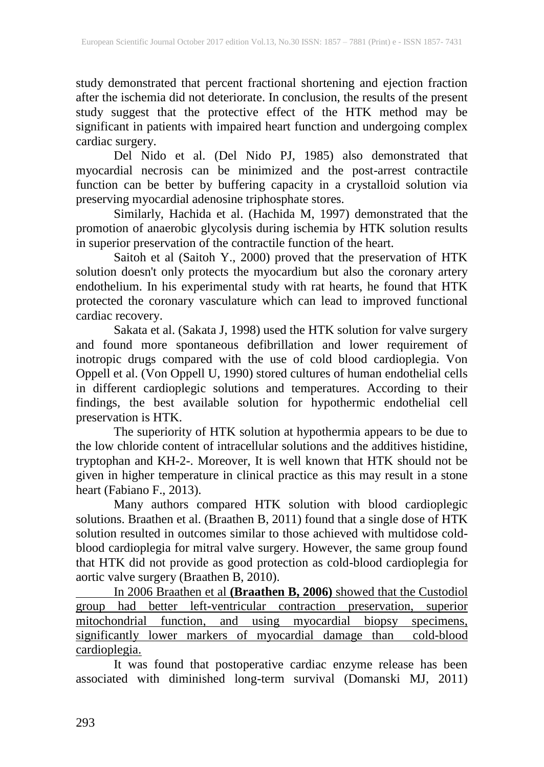study demonstrated that percent fractional shortening and ejection fraction after the ischemia did not deteriorate. In conclusion, the results of the present study suggest that the protective effect of the HTK method may be significant in patients with impaired heart function and undergoing complex cardiac surgery.

Del Nido et al. (Del Nido PJ, 1985) also demonstrated that myocardial necrosis can be minimized and the post-arrest contractile function can be better by buffering capacity in a crystalloid solution via preserving myocardial adenosine triphosphate stores.

Similarly, Hachida et al. (Hachida M, 1997) demonstrated that the promotion of anaerobic glycolysis during ischemia by HTK solution results in superior preservation of the contractile function of the heart.

Saitoh et al (Saitoh Y., 2000) proved that the preservation of HTK solution doesn't only protects the myocardium but also the coronary artery endothelium. In his experimental study with rat hearts, he found that HTK protected the coronary vasculature which can lead to improved functional cardiac recovery.

Sakata et al. (Sakata J, 1998) used the HTK solution for valve surgery and found more spontaneous defibrillation and lower requirement of inotropic drugs compared with the use of cold blood cardioplegia. Von Oppell et al. (Von Oppell U, 1990) stored cultures of human endothelial cells in different cardioplegic solutions and temperatures. According to their findings, the best available solution for hypothermic endothelial cell preservation is HTK.

The superiority of HTK solution at hypothermia appears to be due to the low chloride content of intracellular solutions and the additives histidine, tryptophan and KH-2-. Moreover, It is well known that HTK should not be given in higher temperature in clinical practice as this may result in a stone heart (Fabiano F., 2013).

Many authors compared HTK solution with blood cardioplegic solutions. Braathen et al. (Braathen B, 2011) found that a single dose of HTK solution resulted in outcomes similar to those achieved with multidose coldblood cardioplegia for mitral valve surgery. However, the same group found that HTK did not provide as good protection as cold-blood cardioplegia for aortic valve surgery (Braathen B, 2010).

In 2006 Braathen et al **(Braathen B, 2006)** showed that the Custodiol group had better left-ventricular contraction preservation, superior mitochondrial function, and using myocardial biopsy specimens, significantly lower markers of myocardial damage than cold-blood significantly lower markers of myocardial damage than cardioplegia.

It was found that postoperative cardiac enzyme release has been associated with diminished long-term survival (Domanski MJ, 2011)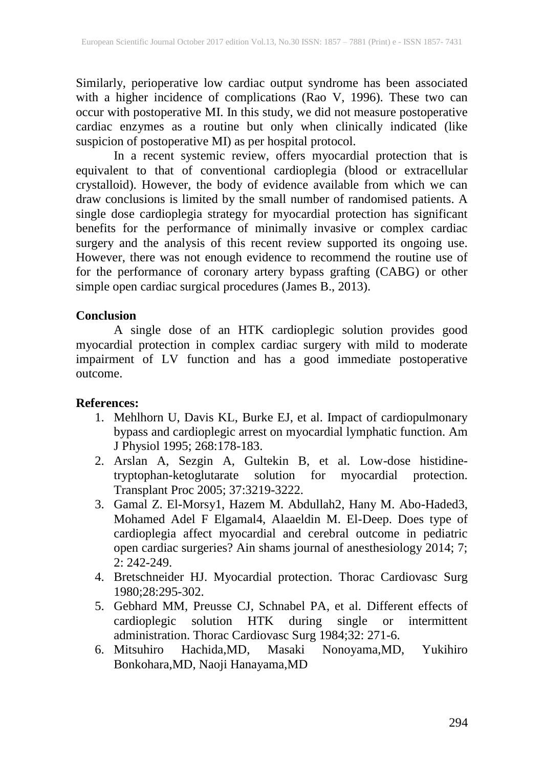Similarly, perioperative low cardiac output syndrome has been associated with a higher incidence of complications (Rao V, 1996). These two can occur with postoperative MI. In this study, we did not measure postoperative cardiac enzymes as a routine but only when clinically indicated (like suspicion of postoperative MI) as per hospital protocol.

In a recent systemic review, offers myocardial protection that is equivalent to that of conventional cardioplegia (blood or extracellular crystalloid). However, the body of evidence available from which we can draw conclusions is limited by the small number of randomised patients. A single dose cardioplegia strategy for myocardial protection has significant benefits for the performance of minimally invasive or complex cardiac surgery and the analysis of this recent review supported its ongoing use. However, there was not enough evidence to recommend the routine use of for the performance of coronary artery bypass grafting (CABG) or other simple open cardiac surgical procedures (James B., 2013).

### **Conclusion**

A single dose of an HTK cardioplegic solution provides good myocardial protection in complex cardiac surgery with mild to moderate impairment of LV function and has a good immediate postoperative outcome.

### **References:**

- 1. Mehlhorn U, Davis KL, Burke EJ, et al. Impact of cardiopulmonary bypass and cardioplegic arrest on myocardial lymphatic function. Am J Physiol 1995; 268:178-183.
- 2. Arslan A, Sezgin A, Gultekin B, et al. Low-dose histidinetryptophan-ketoglutarate solution for myocardial protection. Transplant Proc 2005; 37:3219-3222.
- 3. Gamal Z. El-Morsy1, Hazem M. Abdullah2, Hany M. Abo-Haded3, Mohamed Adel F Elgamal4, Alaaeldin M. El-Deep. Does type of cardioplegia affect myocardial and cerebral outcome in pediatric open cardiac surgeries? Ain shams journal of anesthesiology 2014; 7; 2: 242-249.
- 4. Bretschneider HJ. Myocardial protection. Thorac Cardiovasc Surg 1980;28:295-302.
- 5. Gebhard MM, Preusse CJ, Schnabel PA, et al. Different effects of cardioplegic solution HTK during single or intermittent administration. Thorac Cardiovasc Surg 1984;32: 271-6.
- 6. Mitsuhiro Hachida,MD, Masaki Nonoyama,MD, Yukihiro Bonkohara,MD, Naoji Hanayama,MD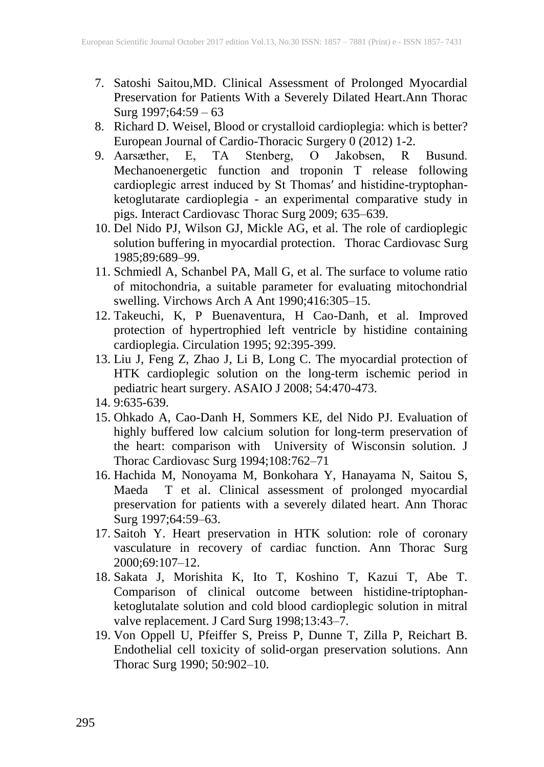- 7. Satoshi Saitou,MD. Clinical Assessment of Prolonged Myocardial Preservation for Patients With a Severely Dilated Heart.Ann Thorac Surg 1997;64:59 – 63
- 8. Richard D. Weisel, Blood or crystalloid cardioplegia: which is better? European Journal of Cardio-Thoracic Surgery 0 (2012) 1-2.
- 9. Aarsæther, E, TA Stenberg, O Jakobsen, R Busund. Mechanoenergetic function and troponin T release following cardioplegic arrest induced by St Thomas′ and histidine-tryptophanketoglutarate cardioplegia - an experimental comparative study in pigs. Interact Cardiovasc Thorac Surg 2009; 635–639.
- 10. Del Nido PJ, Wilson GJ, Mickle AG, et al. The role of cardioplegic solution buffering in myocardial protection. Thorac Cardiovasc Surg 1985;89:689–99.
- 11. Schmiedl A, Schanbel PA, Mall G, et al. The surface to volume ratio of mitochondria, a suitable parameter for evaluating mitochondrial swelling. Virchows Arch A Ant 1990;416:305–15.
- 12. Takeuchi, K, P Buenaventura, H Cao-Danh, et al. Improved protection of hypertrophied left ventricle by histidine containing cardioplegia. Circulation 1995; 92:395-399.
- 13. Liu J, Feng Z, Zhao J, Li B, Long C. The myocardial protection of HTK cardioplegic solution on the long-term ischemic period in pediatric heart surgery. ASAIO J 2008; 54:470-473.
- 14. 9:635-639.
- 15. Ohkado A, Cao-Danh H, Sommers KE, del Nido PJ. Evaluation of highly buffered low calcium solution for long-term preservation of the heart: comparison with University of Wisconsin solution. J Thorac Cardiovasc Surg 1994;108:762–71
- 16. Hachida M, Nonoyama M, Bonkohara Y, Hanayama N, Saitou S, Maeda T et al. Clinical assessment of prolonged myocardial preservation for patients with a severely dilated heart. Ann Thorac Surg 1997;64:59-63.
- 17. Saitoh Y. Heart preservation in HTK solution: role of coronary vasculature in recovery of cardiac function. Ann Thorac Surg 2000;69:107–12.
- 18. Sakata J, Morishita K, Ito T, Koshino T, Kazui T, Abe T. Comparison of clinical outcome between histidine-triptophanketoglutalate solution and cold blood cardioplegic solution in mitral valve replacement. J Card Surg 1998;13:43-7.
- 19. Von Oppell U, Pfeiffer S, Preiss P, Dunne T, Zilla P, Reichart B. Endothelial cell toxicity of solid-organ preservation solutions. Ann Thorac Surg 1990; 50:902–10.